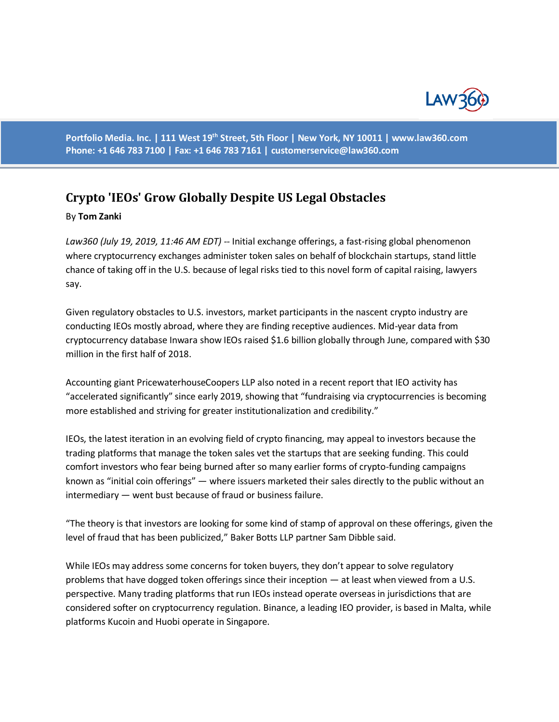

**Portfolio Media. Inc. | 111 West 19th Street, 5th Floor | New York, NY 10011 | www.law360.com Phone: +1 646 783 7100 | Fax: +1 646 783 7161 | [customerservice@law360.com](mailto:customerservice@law360.com)**

## **Crypto 'IEOs' Grow Globally Despite US Legal Obstacles**

## By **Tom Zanki**

*Law360 (July 19, 2019, 11:46 AM EDT) --* Initial exchange offerings, a fast-rising global phenomenon where cryptocurrency exchanges administer token sales on behalf of blockchain startups, stand little chance of taking off in the U.S. because of legal risks tied to this novel form of capital raising, lawyers say.

Given regulatory obstacles to U.S. investors, market participants in the nascent crypto industry are conducting IEOs mostly abroad, where they are finding receptive audiences. Mid-year data from cryptocurrency database Inwara show IEOs raised \$1.6 billion globally through June, compared with \$30 million in the first half of 2018.

Accounting giant PricewaterhouseCoopers LLP also noted in a recent report that IEO activity has "accelerated significantly" since early 2019, showing that "fundraising via cryptocurrencies is becoming more established and striving for greater institutionalization and credibility."

IEOs, the latest iteration in an evolving field of crypto financing, may appeal to investors because the trading platforms that manage the token sales vet the startups that are seeking funding. This could comfort investors who fear being burned after so many earlier forms of crypto-funding campaigns known as "initial coin offerings" — where issuers marketed their sales directly to the public without an intermediary — went bust because of fraud or business failure.

"The theory is that investors are looking for some kind of stamp of approval on these offerings, given the level of fraud that has been publicized," Baker Botts LLP partner Sam Dibble said.

While IEOs may address some concerns for token buyers, they don't appear to solve regulatory problems that have dogged token offerings since their inception — at least when viewed from a U.S. perspective. Many trading platforms that run IEOs instead operate overseas in jurisdictions that are considered softer on cryptocurrency regulation. Binance, a leading IEO provider, is based in Malta, while platforms Kucoin and Huobi operate in Singapore.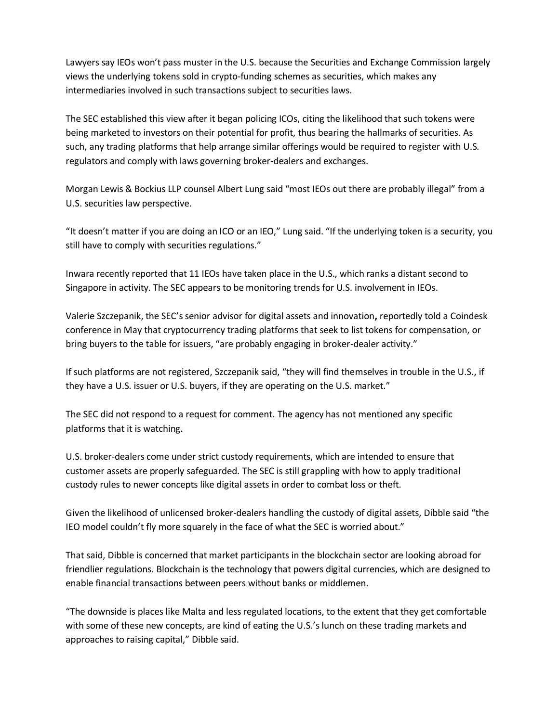Lawyers say IEOs won't pass muster in the U.S. because the Securities and Exchange Commission largely views the underlying tokens sold in crypto-funding schemes as securities, which makes any intermediaries involved in such transactions subject to securities laws.

The SEC established this view after it began policing ICOs, citing the likelihood that such tokens were being marketed to investors on their potential for profit, thus bearing the hallmarks of securities. As such, any trading platforms that help arrange similar offerings would be required to register with U.S. regulators and comply with laws governing broker-dealers and exchanges.

Morgan Lewis & Bockius LLP counsel Albert Lung said "most IEOs out there are probably illegal" from a U.S. securities law perspective.

"It doesn't matter if you are doing an ICO or an IEO," Lung said. "If the underlying token is a security, you still have to comply with securities regulations."

Inwara recently reported that 11 IEOs have taken place in the U.S., which ranks a distant second to Singapore in activity. The SEC appears to be monitoring trends for U.S. involvement in IEOs.

Valerie Szczepanik, the SEC's senior advisor for digital assets and innovation**,** reportedly told a Coindesk conference in May that cryptocurrency trading platforms that seek to list tokens for compensation, or bring buyers to the table for issuers, "are probably engaging in broker-dealer activity."

If such platforms are not registered, Szczepanik said, "they will find themselves in trouble in the U.S., if they have a U.S. issuer or U.S. buyers, if they are operating on the U.S. market."

The SEC did not respond to a request for comment. The agency has not mentioned any specific platforms that it is watching.

U.S. broker-dealers come under strict custody requirements, which are intended to ensure that customer assets are properly safeguarded. The SEC is still grappling with how to apply traditional custody rules to newer concepts like digital assets in order to combat loss or theft.

Given the likelihood of unlicensed broker-dealers handling the custody of digital assets, Dibble said "the IEO model couldn't fly more squarely in the face of what the SEC is worried about."

That said, Dibble is concerned that market participants in the blockchain sector are looking abroad for friendlier regulations. Blockchain is the technology that powers digital currencies, which are designed to enable financial transactions between peers without banks or middlemen.

"The downside is places like Malta and less regulated locations, to the extent that they get comfortable with some of these new concepts, are kind of eating the U.S.'s lunch on these trading markets and approaches to raising capital," Dibble said.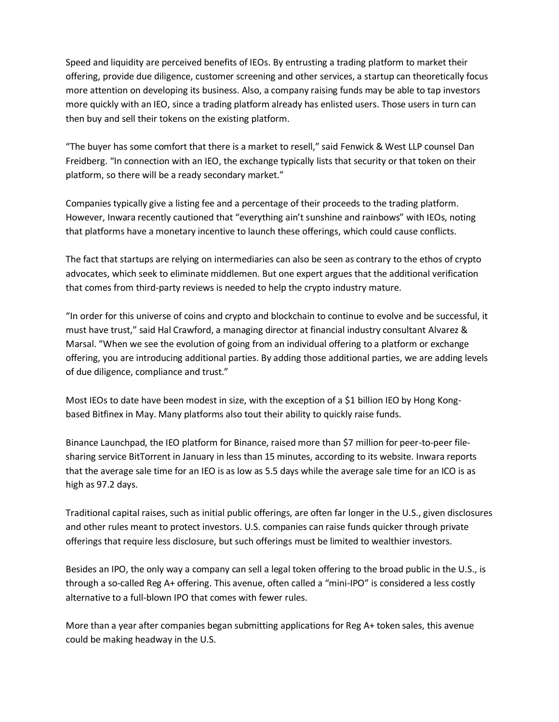Speed and liquidity are perceived benefits of IEOs. By entrusting a trading platform to market their offering, provide due diligence, customer screening and other services, a startup can theoretically focus more attention on developing its business. Also, a company raising funds may be able to tap investors more quickly with an IEO, since a trading platform already has enlisted users. Those users in turn can then buy and sell their tokens on the existing platform.

"The buyer has some comfort that there is a market to resell," said Fenwick & West LLP counsel Dan Freidberg. "In connection with an IEO, the exchange typically lists that security or that token on their platform, so there will be a ready secondary market."

Companies typically give a listing fee and a percentage of their proceeds to the trading platform. However, Inwara recently cautioned that "everything ain't sunshine and rainbows" with IEOs, noting that platforms have a monetary incentive to launch these offerings, which could cause conflicts.

The fact that startups are relying on intermediaries can also be seen as contrary to the ethos of crypto advocates, which seek to eliminate middlemen. But one expert argues that the additional verification that comes from third-party reviews is needed to help the crypto industry mature.

"In order for this universe of coins and crypto and blockchain to continue to evolve and be successful, it must have trust," said Hal Crawford, a managing director at financial industry consultant Alvarez & Marsal. "When we see the evolution of going from an individual offering to a platform or exchange offering, you are introducing additional parties. By adding those additional parties, we are adding levels of due diligence, compliance and trust."

Most IEOs to date have been modest in size, with the exception of a \$1 billion IEO by Hong Kongbased Bitfinex in May. Many platforms also tout their ability to quickly raise funds.

Binance Launchpad, the IEO platform for Binance, raised more than \$7 million for peer-to-peer filesharing service BitTorrent in January in less than 15 minutes, according to its website. Inwara reports that the average sale time for an IEO is as low as 5.5 days while the average sale time for an ICO is as high as 97.2 days.

Traditional capital raises, such as initial public offerings, are often far longer in the U.S., given disclosures and other rules meant to protect investors. U.S. companies can raise funds quicker through private offerings that require less disclosure, but such offerings must be limited to wealthier investors.

Besides an IPO, the only way a company can sell a legal token offering to the broad public in the U.S., is through a so-called Reg A+ offering. This avenue, often called a "mini-IPO" is considered a less costly alternative to a full-blown IPO that comes with fewer rules.

More than a year after companies began submitting applications for Reg A+ token sales, this avenue could be making headway in the U.S.